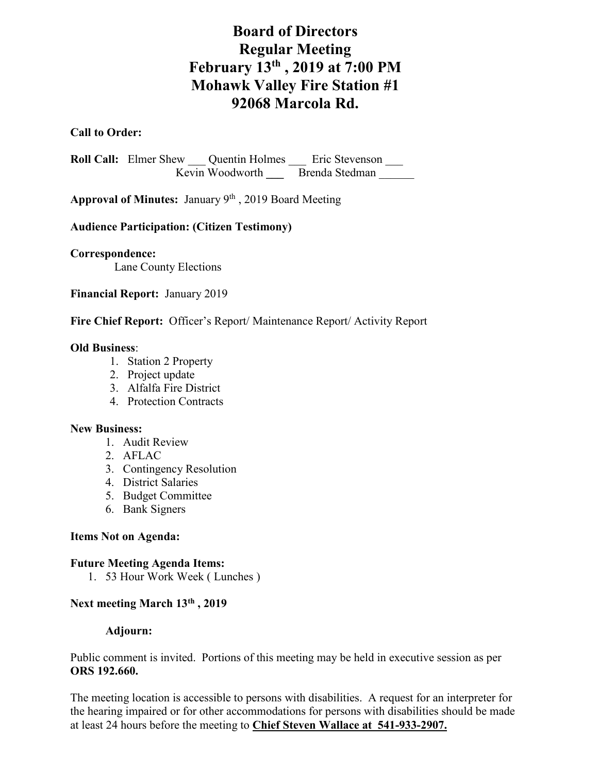# **Board of Directors Regular Meeting February 13th , 2019 at 7:00 PM Mohawk Valley Fire Station #1 92068 Marcola Rd.**

## **Call to Order:**

Roll Call: Elmer Shew <u>Quentin Holmes</u> Eric Stevenson Kevin Woodworth **Brenda Stedman** 

**Approval of Minutes:** January 9th , 2019 Board Meeting

### **Audience Participation: (Citizen Testimony)**

**Correspondence:**

Lane County Elections

**Financial Report:** January 2019

#### **Fire Chief Report:** Officer's Report/ Maintenance Report/ Activity Report

#### **Old Business**:

- 1. Station 2 Property
- 2. Project update
- 3. Alfalfa Fire District
- 4. Protection Contracts

#### **New Business:**

- 1. Audit Review
- 2. AFLAC
- 3. Contingency Resolution
- 4. District Salaries
- 5. Budget Committee
- 6. Bank Signers

#### **Items Not on Agenda:**

#### **Future Meeting Agenda Items:**

1. 53 Hour Work Week ( Lunches )

#### **Next meeting March 13th , 2019**

#### **Adjourn:**

Public comment is invited. Portions of this meeting may be held in executive session as per **ORS 192.660.**

The meeting location is accessible to persons with disabilities. A request for an interpreter for the hearing impaired or for other accommodations for persons with disabilities should be made at least 24 hours before the meeting to **Chief Steven Wallace at 541-933-2907.**